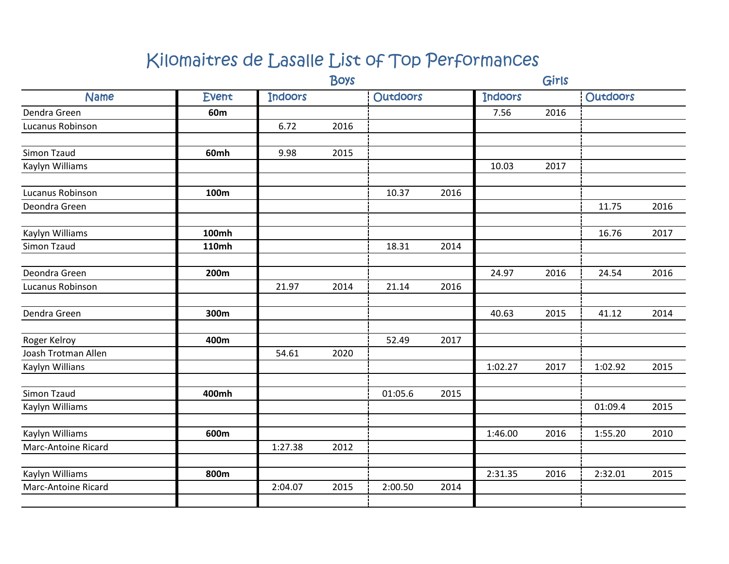|                            |                 | <b>Boys</b>    |      |                 |      |                | Girls |                 |      |  |  |
|----------------------------|-----------------|----------------|------|-----------------|------|----------------|-------|-----------------|------|--|--|
| <b>Name</b>                | <b>Event</b>    | <b>Indoors</b> |      | <b>Outdoors</b> |      | <b>Indoors</b> |       | <b>Outdoors</b> |      |  |  |
| Dendra Green               | 60 <sub>m</sub> |                |      |                 |      | 7.56           | 2016  |                 |      |  |  |
| <b>Lucanus Robinson</b>    |                 | 6.72           | 2016 |                 |      |                |       |                 |      |  |  |
| Simon Tzaud                | 60mh            | 9.98           | 2015 |                 |      |                |       |                 |      |  |  |
| Kaylyn Williams            |                 |                |      |                 |      | 10.03          | 2017  |                 |      |  |  |
| Lucanus Robinson           | 100m            |                |      | 10.37           | 2016 |                |       |                 |      |  |  |
| Deondra Green              |                 |                |      |                 |      |                |       | 11.75           | 2016 |  |  |
| Kaylyn Williams            | <b>100mh</b>    |                |      |                 |      |                |       | 16.76           | 2017 |  |  |
| Simon Tzaud                | <b>110mh</b>    |                |      | 18.31           | 2014 |                |       |                 |      |  |  |
| Deondra Green              | 200m            |                |      |                 |      | 24.97          | 2016  | 24.54           | 2016 |  |  |
| Lucanus Robinson           |                 | 21.97          | 2014 | 21.14           | 2016 |                |       |                 |      |  |  |
| Dendra Green               | 300m            |                |      |                 |      | 40.63          | 2015  | 41.12           | 2014 |  |  |
| Roger Kelroy               | 400m            |                |      | 52.49           | 2017 |                |       |                 |      |  |  |
| Joash Trotman Allen        |                 | 54.61          | 2020 |                 |      |                |       |                 |      |  |  |
| Kaylyn Willians            |                 |                |      |                 |      | 1:02.27        | 2017  | 1:02.92         | 2015 |  |  |
| <b>Simon Tzaud</b>         | 400mh           |                |      | 01:05.6         | 2015 |                |       |                 |      |  |  |
| Kaylyn Williams            |                 |                |      |                 |      |                |       | 01:09.4         | 2015 |  |  |
| Kaylyn Williams            | 600m            |                |      |                 |      | 1:46.00        | 2016  | 1:55.20         | 2010 |  |  |
| Marc-Antoine Ricard        |                 | 1:27.38        | 2012 |                 |      |                |       |                 |      |  |  |
| Kaylyn Williams            | 800m            |                |      |                 |      | 2:31.35        | 2016  | 2:32.01         | 2015 |  |  |
| <b>Marc-Antoine Ricard</b> |                 | 2:04.07        | 2015 | 2:00.50         | 2014 |                |       |                 |      |  |  |
|                            |                 |                |      |                 |      |                |       |                 |      |  |  |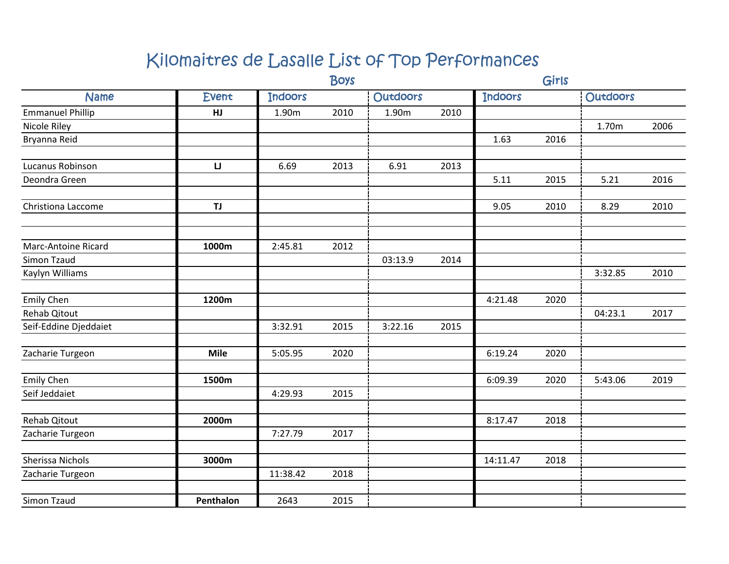|                            |              | <b>Boys</b>    |      |                 |      |                | Girls |                 |      |
|----------------------------|--------------|----------------|------|-----------------|------|----------------|-------|-----------------|------|
| <b>Name</b>                | <b>Event</b> | <b>Indoors</b> |      | <b>Outdoors</b> |      | <b>Indoors</b> |       | <b>Outdoors</b> |      |
| <b>Emmanuel Phillip</b>    | HJ           | 1.90m          | 2010 | 1.90m           | 2010 |                |       |                 |      |
| Nicole Riley               |              |                |      |                 |      |                |       | 1.70m           | 2006 |
| Bryanna Reid               |              |                |      |                 |      | 1.63           | 2016  |                 |      |
|                            |              |                |      |                 |      |                |       |                 |      |
| Lucanus Robinson           | IJ           | 6.69           | 2013 | 6.91            | 2013 |                |       |                 |      |
| Deondra Green              |              |                |      |                 |      | 5.11           | 2015  | 5.21            | 2016 |
|                            |              |                |      |                 |      |                |       |                 |      |
| Christiona Laccome         | TJ           |                |      |                 |      | 9.05           | 2010  | 8.29            | 2010 |
|                            |              |                |      |                 |      |                |       |                 |      |
| <b>Marc-Antoine Ricard</b> | 1000m        | 2:45.81        | 2012 |                 |      |                |       |                 |      |
| <b>Simon Tzaud</b>         |              |                |      | 03:13.9         | 2014 |                |       |                 |      |
| Kaylyn Williams            |              |                |      |                 |      |                |       | 3:32.85         | 2010 |
|                            |              |                |      |                 |      |                |       |                 |      |
| <b>Emily Chen</b>          | 1200m        |                |      |                 |      | 4:21.48        | 2020  |                 |      |
| Rehab Qitout               |              |                |      |                 |      |                |       | 04:23.1         | 2017 |
| Seif-Eddine Djeddaiet      |              | 3:32.91        | 2015 | 3:22.16         | 2015 |                |       |                 |      |
| Zacharie Turgeon           | <b>Mile</b>  | 5:05.95        | 2020 |                 |      | 6:19.24        | 2020  |                 |      |
|                            |              |                |      |                 |      |                |       |                 |      |
| <b>Emily Chen</b>          | 1500m        |                |      |                 |      | 6:09.39        | 2020  | 5:43.06         | 2019 |
| Seif Jeddaiet              |              | 4:29.93        | 2015 |                 |      |                |       |                 |      |
|                            |              |                |      |                 |      |                |       |                 |      |
| <b>Rehab Qitout</b>        | 2000m        |                |      |                 |      | 8:17.47        | 2018  |                 |      |
| Zacharie Turgeon           |              | 7:27.79        | 2017 |                 |      |                |       |                 |      |
| Sherissa Nichols           | 3000m        |                |      |                 |      | 14:11.47       | 2018  |                 |      |
| Zacharie Turgeon           |              | 11:38.42       | 2018 |                 |      |                |       |                 |      |
|                            |              |                |      |                 |      |                |       |                 |      |
| Simon Tzaud                | Penthalon    | 2643           | 2015 |                 |      |                |       |                 |      |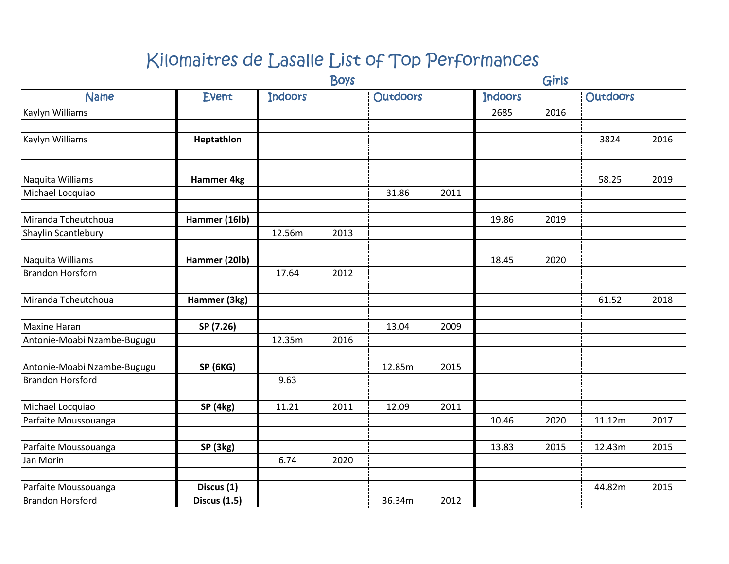|                             | <b>Boys</b>         |                |      |                 |      | Girls          |      |                 |      |
|-----------------------------|---------------------|----------------|------|-----------------|------|----------------|------|-----------------|------|
| <b>Name</b>                 | <b>Event</b>        | <b>Indoors</b> |      | <b>Outdoors</b> |      | <b>Indoors</b> |      | <b>Outdoors</b> |      |
| Kaylyn Williams             |                     |                |      |                 |      | 2685           | 2016 |                 |      |
|                             |                     |                |      |                 |      |                |      |                 |      |
| Kaylyn Williams             | Heptathlon          |                |      |                 |      |                |      | 3824            | 2016 |
|                             |                     |                |      |                 |      |                |      |                 |      |
| Naquita Williams            | Hammer 4kg          |                |      |                 |      |                |      | 58.25           | 2019 |
| Michael Locquiao            |                     |                |      | 31.86           | 2011 |                |      |                 |      |
|                             |                     |                |      |                 |      |                |      |                 |      |
| Miranda Tcheutchoua         | Hammer (16lb)       |                |      |                 |      | 19.86          | 2019 |                 |      |
| Shaylin Scantlebury         |                     | 12.56m         | 2013 |                 |      |                |      |                 |      |
|                             |                     |                |      |                 |      |                |      |                 |      |
| Naquita Williams            | Hammer (20lb)       |                |      |                 |      | 18.45          | 2020 |                 |      |
| <b>Brandon Horsforn</b>     |                     | 17.64          | 2012 |                 |      |                |      |                 |      |
|                             |                     |                |      |                 |      |                |      |                 |      |
| Miranda Tcheutchoua         | Hammer (3kg)        |                |      |                 |      |                |      | 61.52           | 2018 |
|                             |                     |                |      |                 |      |                |      |                 |      |
| <b>Maxine Haran</b>         | SP (7.26)           | 12.35m         | 2016 | 13.04           | 2009 |                |      |                 |      |
| Antonie-Moabi Nzambe-Bugugu |                     |                |      |                 |      |                |      |                 |      |
| Antonie-Moabi Nzambe-Bugugu | <b>SP (6KG)</b>     |                |      | 12.85m          | 2015 |                |      |                 |      |
| <b>Brandon Horsford</b>     |                     | 9.63           |      |                 |      |                |      |                 |      |
|                             |                     |                |      |                 |      |                |      |                 |      |
| Michael Locquiao            | <b>SP</b> (4kg)     | 11.21          | 2011 | 12.09           | 2011 |                |      |                 |      |
| Parfaite Moussouanga        |                     |                |      |                 |      | 10.46          | 2020 | 11.12m          | 2017 |
|                             |                     |                |      |                 |      |                |      |                 |      |
| Parfaite Moussouanga        | SP (3kg)            |                |      |                 |      | 13.83          | 2015 | 12.43m          | 2015 |
| Jan Morin                   |                     | 6.74           | 2020 |                 |      |                |      |                 |      |
| Parfaite Moussouanga        | Discus (1)          |                |      |                 |      |                |      | 44.82m          | 2015 |
| <b>Brandon Horsford</b>     | <b>Discus (1.5)</b> |                |      | 36.34m          | 2012 |                |      |                 |      |
|                             |                     |                |      |                 |      |                |      |                 |      |